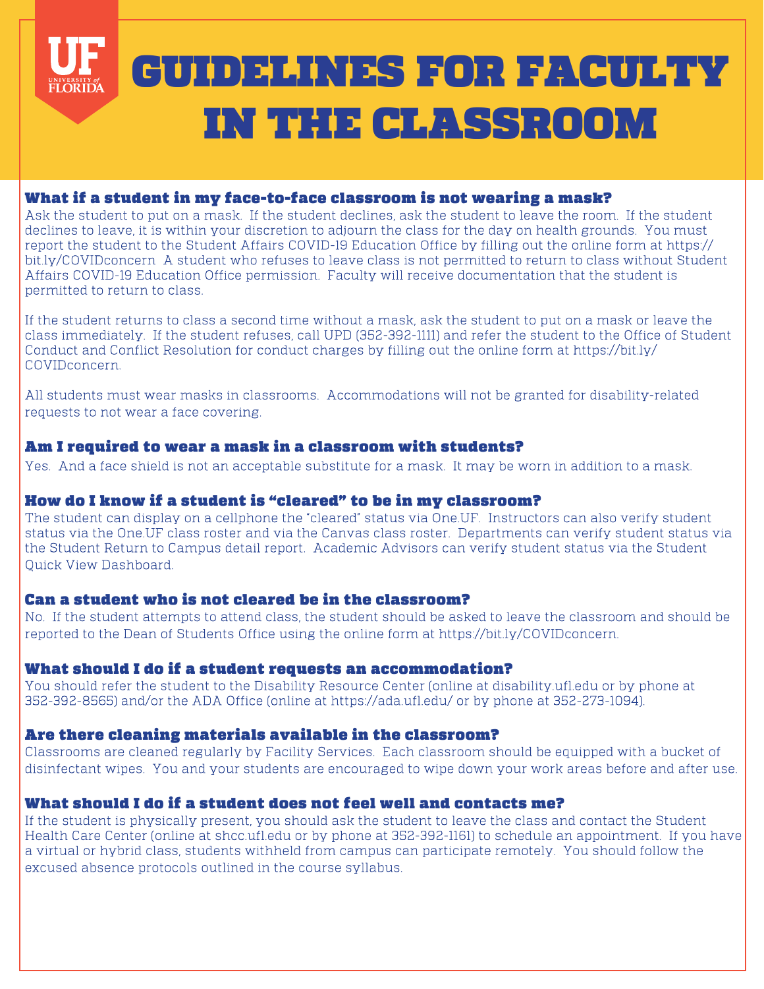# GUIDELINES FOR FACULTY **FLORIDA** IN THE CLASSROOM

## What if a student in my face-to-face classroom is not wearing a mask?

Ask the student to put on a mask. If the student declines, ask the student to leave the room. If the student declines to leave, it is within your discretion to adjourn the class for the day on health grounds. You must report the student to the Student Affairs COVID-19 Education Office by filling out the online form at https:// bit.ly/COVIDconcern A student who refuses to leave class is not permitted to return to class without Student Affairs COVID-19 Education Office permission. Faculty will receive documentation that the student is permitted to return to class.

If the student returns to class a second time without a mask, ask the student to put on a mask or leave the class immediately. If the student refuses, call UPD (352-392-1111) and refer the student to the Office of Student Conduct and Conflict Resolution for conduct charges by filling out the online form at https://bit.ly/ COVIDconcern.

All students must wear masks in classrooms. Accommodations will not be granted for disability-related requests to not wear a face covering.

#### Am I required to wear a mask in a classroom with students?

Yes. And a face shield is not an acceptable substitute for a mask. It may be worn in addition to a mask.

#### How do I know if a student is "cleared" to be in my classroom?

The student can display on a cellphone the "cleared" status via One.UF. Instructors can also verify student status via the One.UF class roster and via the Canvas class roster. Departments can verify student status via the Student Return to Campus detail report. Academic Advisors can verify student status via the Student Quick View Dashboard.

#### Can a student who is not cleared be in the classroom?

No. If the student attempts to attend class, the student should be asked to leave the classroom and should be reported to the Dean of Students Office using the online form at https://bit.ly/COVIDconcern.

#### What should I do if a student requests an accommodation?

You should refer the student to the Disability Resource Center (online at disability.ufl.edu or by phone at 352-392-8565) and/or the ADA Office (online at https://ada.ufl.edu/ or by phone at 352-273-1094).

## Are there cleaning materials available in the classroom?

Classrooms are cleaned regularly by Facility Services. Each classroom should be equipped with a bucket of disinfectant wipes. You and your students are encouraged to wipe down your work areas before and after use.

## What should I do if a student does not feel well and contacts me?

If the student is physically present, you should ask the student to leave the class and contact the Student Health Care Center (online at shcc.ufl.edu or by phone at 352-392-1161) to schedule an appointment. If you have a virtual or hybrid class, students withheld from campus can participate remotely. You should follow the excused absence protocols outlined in the course syllabus.